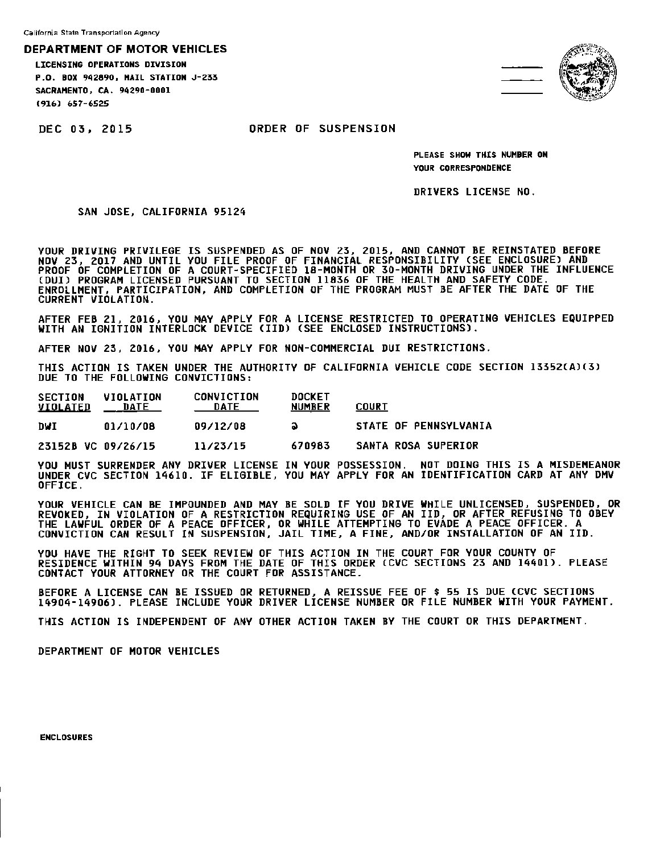California State Transportation Agency

**DEPARTMENT** OF MOTOR VEHICLES

LICENSING OPERATIONS DIVISION P.O. BOK 942890, HAIL STATION J-233 SACRAHENTO, CA. 94290-0001 1916) 657-6525



DEC 03, 2015 ORDER OF SUSPENSION

PLEASE SHOW THIS NUMBER ON YOUR CORRESPONDENCE

DRIVERS LICENSE NO.

SAN JOSE, CALIFORNIA 95124

YOUR DRIVING PRIVILEGE IS SUSPENDED AS OF NOV 23, 2015, AND CANNOT BE REINSTATED BEFORE NOV 23, 2017 AND UNTIL YOU FILE PROOF OF FINANCIAL RESPONSIBILITY (SEE ENCLOSURE) AND PROOF OF COMPLETION OF A COURT-SPECIFIED 18-MONTH OR 30-MONTH DRIVING UNDER THE INFLUENCE (DUI) PROGRAM LICENSED PURSUANT TO SECTION 11836 OF THE HEALTH AND SAFETY CODE. ENROLLMENT, PARTICIPATION, AND COMPLETION OF THE PROGRAM MUST BE AFTER THE DATE OF THE CURRENT VIOLATION.

AFTER FEB 21, 2016, YOU MAY APPLY FOR A LICENSE RESTRICTED TO OPERATING VEHICLES EQUIPPED<br>WITH AN IGNITION INTERLOCK DEVICE (IID) (SEE ENCLOSED INSTRUCTIONS).

AFTER NOV 23, 2016, YOU MAY APPLY FOR NON-COMMERCIAL DUI RESTRICTIONS.

THIS ACTION IS TAKEN UNDER THE AUTHORITY OF CALIFORNIA VEHICLE CODE SECTION 13352(A)(3) DUE TO THE FOLLOWING CONVICTIONS:

| <b>SECTION</b><br><b>VIOLATED</b> | VIOLATION<br>DATE | <b>CONVICTION</b><br>DATE | <b>DOCKET</b><br><b>NUMBER</b> | COURT                        |
|-----------------------------------|-------------------|---------------------------|--------------------------------|------------------------------|
| DVI                               | 01/10/08          | 09/12/08                  | a                              | <b>STATE OF PENNSYLVANIA</b> |
| 23152B VC 09/26/15                |                   | 11/23/15                  | 670983                         | <b>SANTA ROSA SUPERIOR</b>   |

YOU MUST SURRENDER ANY DRIVER LICENSE IN YOUR POSSESSION. NOT DOING THIS IS A MISDEMEANOR UNDER eve SECTION 14610. IF ELIGIBLE, vou MAY APPLY FOR AN IDENTIFICATION CARD AT ANY DMV OFFICE.

YOUR VEHICLE CAN BE IMPOUNDED AND MAV BE SOLD IF VOU DRIVE WHILE UNLICENSED, SUSPENDED, OR REVOKED, IN VIOLATION Of A RESTRICTION REQUIRING USE OF AN IID, OR AFTER REFUSING TO OBEY THE LAWFUL ORDER OF A PEACE OFFICER, OR WHILE ATTEMPTING TO EVADE A PEACE OFFICER. A CONVICTION CAN RESULT IN SUSPENSION, JAIL TIME, A FINE, AND/OR INSTALLATION OF AN IID.

VDU HAVE THE RIGHT TD SEEK REVIEW OF THIS ACTION IN THE COURT FOR YOUR COUNTY OF RESIDENCE WITHIN 94 DAYS FROM THE DATE OF THIS ORDER CCVC SECTIONS 23 AND 14401). PLEASE CONTACT YOUR ATTORNEV OR THE COURT FDR ASSISTANCE.

BEFORE A LICENSE CAN BE ISSUED OR RETURNED, A REISSUE FEE OF \$ 55 IS DUE (CVC SECTIONS 14904-14906). PLEASE INCLUDE YOUR DRIVER LICENSE NUMBER OR FILE NUMBER WITH VOUR PAYMENT.

THIS ACTION IS INDEPENDENT OF ANY OTHER ACTION TAKEN BV THE COURT OR THIS DEPARTMENT.

DEPARTMENT OF MOTOR VEHICLES

ENCLOSURES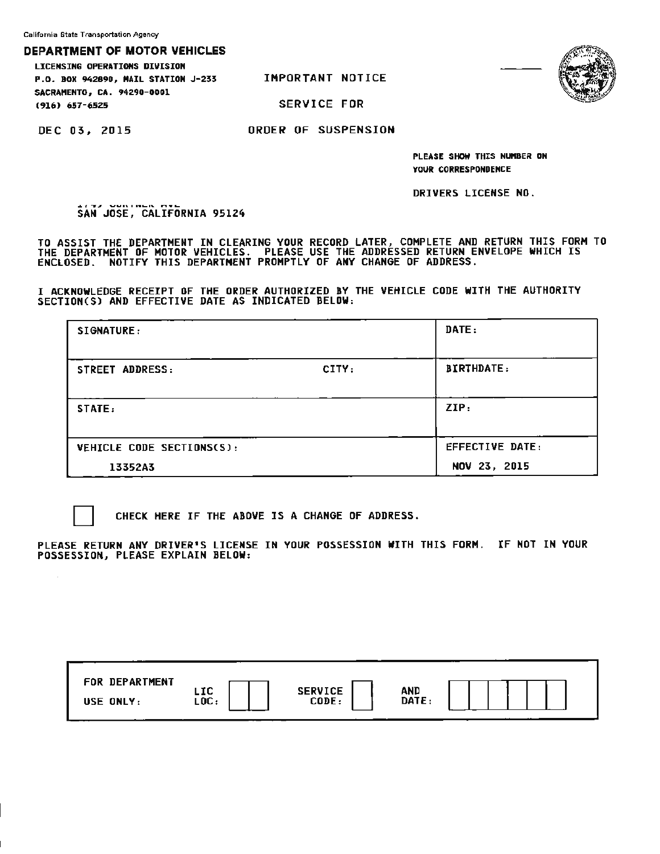California State Transportation Agency

## **DEPARTMENT OF MOTOR VEHICLES**

LICENSING **OPERATIONS DIVISION P.O. BOK 94289D, HAIL STATION** J-233 **SACRAMENTO, CA. 9429D-0001** 

IMPORTANT NOTICE

SERVICE FOR



DEC 03, 2015

**1916) 657-6.52.5** 

ORDER OF SUSPENSION

**PLEASE SHOW THIS NUMBER ON YOUR CORRESPONDENCE** 

DRIVERS LICENSE NO.

SAN JOSE, CALIFORNIA **95124** 

TO ASSIST THE DEPARTMENT IN CLEARING YOUR RECORD LATER, COMPLETE AND RETURN THIS FORM TO THE DEPARTMENT OF MOTOR VEHICLES. PLEASE USE THE ADDRESSED RETURN ENVELOPE WHICH IS ENCLOSED. NOTIFY THIS DEPARTMENT PROMPTLY OF ANY CHANGE OF ADDRESS.

I **ACKNOWLEDGE** RECEIPT OF THE **ORDER** AUTHORIZED BV THE VEHICLE CODE **WITH** THE AUTHORITY SECTION(Sl AND EFFECTIVE DATE AS INDICATED **BELOW:** 

| <b>SIGNATURE:</b>                |       | DATE:                  |
|----------------------------------|-------|------------------------|
| <b>STREET ADDRESS:</b>           | CITY: | <b>BIRTHDATE:</b>      |
| STATE:                           |       | ZIP:                   |
| <b>VEHICLE CODE SECTIONS(S):</b> |       | <b>EFFECTIVE DATE:</b> |
| 13352A3                          |       | NOV 23, 2015           |

 $\mathcal{L}$ 

CHECK HERE IF THE ABOVE IS A CHANGE OF ADDRESS.

PLEASE RETURN ANY DRIVER'S LICENSE IN YOUR POSSESSION WITH THIS FORM. IF NOT IN YOUR POSSESSION, PLEASE EXPLAIN **BELOW:** 

| CODE:<br>USE ONLY: | FOR DEPARTMENT |             | <b>SERVICE</b> |              |  |
|--------------------|----------------|-------------|----------------|--------------|--|
|                    |                | LIC<br>LOC: |                | AND<br>DATE: |  |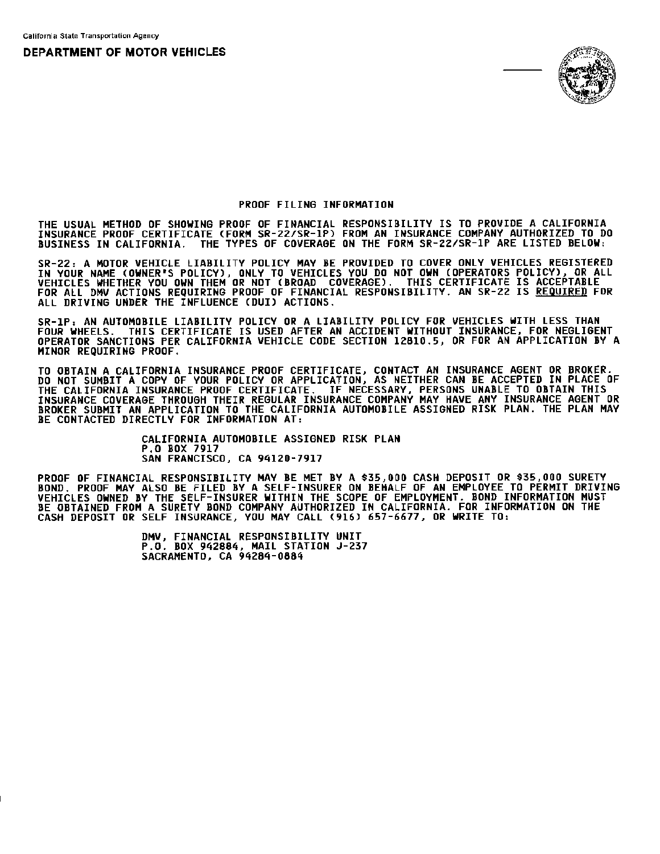**DEPARTMENT OF MOTOR** VEHICLES



## PROOF FILING INFORMATION

THE USUAL METHOD OF SHOWING PROOF OF FINANCIAL RESPONSIBILITY IS TO PROVIDE A CALIFORNIA INSURANCE PROOF CERTIFICATE (FORM SR-22/SR-lP) FROM AN INSURANCE COMPANY AUTHORIZED TO DO BUSINESS IN CALIFORNIA. THE TYPES OF COVERAGE ON THE FORM SR-22/SR-lP ARE LISTED BELOW:

SR-22: A MOTOR VEHICLE LIABILITY POLICY MAY BE PROVIDED TO COVER ONLY VEHICLES REGISTERED IN YOUR NAME (OWNER'S POLICY), ONLV TO VEHICLES VOU DO NOT OWN (OPERATORS POLICY), OR ALL VEHICLES WHETHER VDU OWN THEM OR NOT (BROAD COVERAGE). THIS CERTIFICATE IS ACCEPTABLE FOR ALL DMV ACTIONS REQUIRING PROOF OF FINANCIAL RESPONSIBILITY. AN SR-22 IS REQUIRED FOR ALL DRIVING UNDER THE INFLUENCE CDUI) ACTIONS.

SR-lP: AN AUTOMOBILE LIABILITY POLICY OR A LIABILITY POLICY FOR VEHICLES WITH LESS THAN FOUR WHEELS. THIS CERTIFICATE IS USED AFTER AN ACCIDENT WITHOUT INSURANCE, FOR NEGLIGENT OPERATOR SANCTIONS PER CALIFORNIA VEHICLE CODE SECTION 12810.5, OR FOR AN APPLICATION BV A MINOR REQUIRING PROOF.

TO OBTAIN A CALIFORNIA INSURANCE PROOF CERTIFICATE, CONTACT AN INSURANCE AGENT OR BROKER. DO NOT SUMBIT A COPY OF YOUR POLICY OR APPLICATION, AS NEITHER CAN BE ACCEPTED IN PLACE OF THE CALIFORNIA INSURANCE PROOF CERTIFICATE. IF NECESSARY, PERSONS UNABLE TO OBTAIN THIS INSURANCE COVERAGE THROUGH THEIR REGULAR INSURANCE COMPANY MAY HAVE ANY INSURANCE AGENT OR BROKER SUBMIT AN APPLICATION TO THE CALIFORNIA AUTOMOBILE ASSIGNED RISK PLAN. THE PLAN MAY BE CONTACTED DIRECTLY FOR INFORMATION AT:

> CALIFORNIA AUTOMOBILE ASSIGNED RISK PLAN P.O BOX 7917 SAN FRANCISCO, CA 94120-7917

PROOF OF FINANCIAL RESPONSIBILITY MAY BE MET BV A \$35,000 CASH DEPOSIT OR \$35,000 SURETY BOND. PROOF MAY ALSO BE FILED BV A SELF-INSURER ON BEHALF OF AN EMPLOYEE TO PERMIT DRIVING VEHICLES OWNED BY THE SELF-INSURER WITHIN THE SCOPE OF EMPLOYMENT. BOND INFORMATION MUST BE OBTAINED FROM A SURETY BOND COMPANV AUTHORIZED IN CALIFORNIA. FOR INFORMATION ON THE CASH DEPOSIT OR SELF INSURANCE, YOU MAY CALL (916) 657-6677, OR WRITE TO:

> OMV, FINANCIAL RESPONSIBILITY UNIT P.O. BOX 942884, MAIL STATION J-237 SACRAMENTO, CA 94284-0884